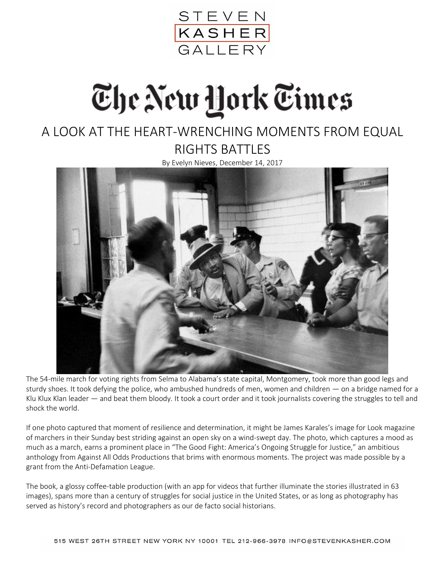

## The New York Times

## A LOOK AT THE HEART-WRENCHING MOMENTS FROM EQUAL

RIGHTS BATTLES

By Evelyn Nieves, December 14, 2017



The 54-mile march for voting rights from Selma to Alabama's state capital, Montgomery, took more than good legs and sturdy shoes. It took defying the police, who ambushed hundreds of men, women and children — on a bridge named for a Klu Klux Klan leader — and beat them bloody. It took a court order and it took journalists covering the struggles to tell and shock the world.

If one photo captured that moment of resilience and determination, it might be James Karales's image for Look magazine of marchers in their Sunday best striding against an open sky on a wind-swept day. The photo, which captures a mood as much as a march, earns a prominent place in "The Good Fight: America's Ongoing Struggle for Justice," an ambitious anthology from Against All Odds Productions that brims with enormous moments. The project was made possible by a grant from the Anti-Defamation League.

The book, a glossy coffee-table production (with an app for videos that further illuminate the stories illustrated in 63 images), spans more than a century of struggles for social justice in the United States, or as long as photography has served as history's record and photographers as our de facto social historians.